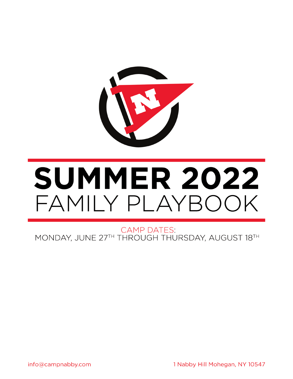

# **SUMMER 2022** FAMILY PLAYBOOK

**CAMP DATES:** MONDAY, JUNE 27TH THROUGH THURSDAY, AUGUST 18TH

1 Nabby Hill Mohegan, NY 10547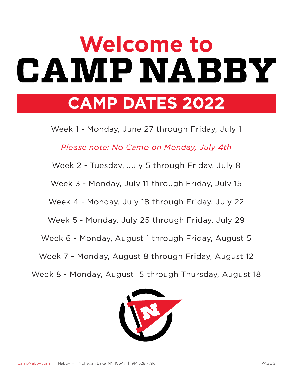# **Welcome toCAMPNABBY**

# **CAMP DATES 2022**

Week 1 - Monday, June 27 through Friday, July 1

*Please note: No Camp on Monday, July 4th*

Week 2 - Tuesday, July 5 through Friday, July 8

Week 3 - Monday, July 11 through Friday, July 15

Week 4 - Monday, July 18 through Friday, July 22

Week 5 - Monday, July 25 through Friday, July 29

Week 6 - Monday, August 1 through Friday, August 5

Week 7 - Monday, August 8 through Friday, August 12

Week 8 - Monday, August 15 through Thursday, August 18

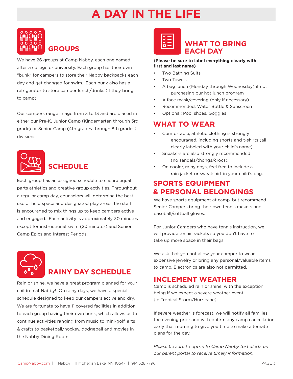# **A DAY IN THE LIFE**



We have 26 groups at Camp Nabby, each one named after a college or university. Each group has their own "bunk" for campers to store their Nabby backpacks each day and get changed for swim. Each bunk also has a refrigerator to store camper lunch/drinks (if they bring to camp).

Our campers range in age from 3 to 13 and are placed in either our Pre-K, Junior Camp (Kindergarten through 3rd grade) or Senior Camp (4th grades through 8th grades) divisions.



## **SCHEDULE**

Each group has an assigned schedule to ensure equal parts athletics and creative group activities. Throughout a regular camp day, counselors will determine the best use of field space and designated play areas; the staff is encouraged to mix things up to keep campers active and engaged. Each activity is approximately 30 minutes except for instructional swim (20 minutes) and Senior Camp Epics and Interest Periods.



## **RAINY DAY SCHEDULE**

Rain or shine, we have a great program planned for your children at Nabby! On rainy days, we have a special schedule designed to keep our campers active and dry. We are fortunate to have 11 covered facilities in addition to each group having their own bunk, which allows us to continue activities ranging from music to mini-golf, arts & crafts to basketball/hockey, dodgeball and movies in the Nabby Dining Room!

## **WHAT TO BRING EACH DAY**

#### **(Please be sure to label everything clearly with first and last name)**

- Two Bathing Suits
- **Two Towels**
- A bag lunch (Monday through Wednesday) if not purchasing our hot lunch program
- A face mask/covering (only if necessary)
- Recommended: Water Bottle & Sunscreen
- Optional: Pool shoes, Goggles

### **WHAT TO WEAR**

- Comfortable, athletic clothing is strongly encouraged, including shorts and t-shirts (all clearly labeled with your child's name).
- Sneakers are also strongly recommended (no sandals/thongs/crocs).
- On cooler, rainy days, feel free to include a rain jacket or sweatshirt in your child's bag.

### **SPORTS EQUIPMENT & PERSONAL BELONGINGS**

We have sports equipment at camp, but recommend Senior Campers bring their own tennis rackets and baseball/softball gloves.

For Junior Campers who have tennis instruction, we will provide tennis rackets so you don't have to take up more space in their bags.

We ask that you not allow your camper to wear expensive jewelry or bring any personal/valuable items to camp. Electronics are also not permitted.

## **INCLEMENT WEATHER**

Camp is scheduled rain or shine, with the exception being if we expect a severe weather event (ie Tropical Storm/Hurricane).

If severe weather is forecast, we will notify all families the evening prior and will confirm any camp cancellation early that morning to give you time to make alternate plans for the day.

*Please be sure to opt-in to Camp Nabby text alerts on our parent portal to receive timely information.*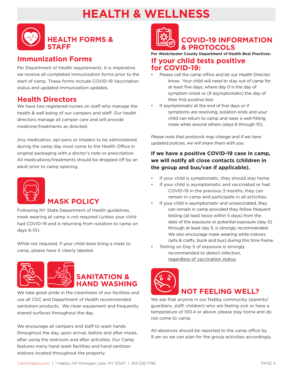# **HEALTH & WELLNESS**



#### **Immunization Forms**

Per Department of Health requirements, it is imperative we receive all completed immunization forms prior to the start of camp. These forms include COVID-19 Vaccination status and updated immunization updates.

### **Health Directors**

We have two registered nurses on staff who manage the health & well being of our campers and staff. Our health directors manage all camper care and will provide medicine/treatments as directed.

Any medication, epi-pens or inhalers to be administered during the camp day must come to the Health Office in original packaging with a doctor's note or prescription. All medications/treatments should be dropped off by an adult prior to camp opening.



## **MASK POLICY**

Following NY State Department of Health guidelines, mask wearing at camp is not required (unless your child had COVID-19 and is returning from isolation to camp on days 6-10).

While not required, if your child does bring a mask to camp, please have it clearly labeled.





We take great pride in the cleanliness of our facilities and use all CDC and Department of Health recommended sanitation products. We clean equipment and frequently shared surfaces throughout the day.

We encourage all campers and staff to wash hands throughout the day, upon arrival, before and after meals, after using the restroom and after activities. Our Camp features many hand wash facilities and hand sanitizer stations located throughout the property.



## **COVID-19 INFORMATION & PROTOCOLS**

#### **Per Westchester County Department of Health Best Practices: If your child tests positive for COVID-19:**

- Please call the camp office and let our Health Director know. Your child will need to stay out of camp for at least five days, where day 0 is the day of symptom onset or (if asymptomatic) the day of their first positive test.
- If asymptomatic at the end of five days or if symptoms are resolving, isolation ends and your child can return to camp and wear a well-fitting mask while around others (days 6 through 10).

*Please note that protocols may change and if we have updated policies, we will share them with you.*

#### **If we have a positive COVID-19 case in camp, we will notify all close contacts (children in the group and bus/van if applicable).**

- If your child is symptomatic, they should stay home.
- If your child is asymptomatic and vaccinated or had COVID-19 in the previous 3 months, they can remain in camp and participate in all activities.
- If your child is asymptomatic and unvaccinated, they can remain in camp provided they follow frequent testing (at least twice within 5 days) from the date of the exposure or potential exposure (day 0) through at least day 5, is strongly recommended. We also encourage mask wearing while indoors (arts & crafts, bunk and bus) during this time frame.
- Testing on Day 5 of exposure is strongly recommended to detect infection, regardless of vaccination status.



We ask that anyone in our Nabby community (parents/ guardians, staff, children) who are feeling sick or have a temperature of 100.4 or above, please stay home and do not come to camp.

All absences should be reported to the camp office by 9 am so we can plan for the group activities accordingly.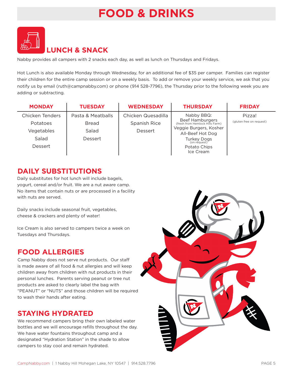# **FOOD & DRINKS**



Nabby provides all campers with 2 snacks each day, as well as lunch on Thursdays and Fridays.

Hot Lunch is also available Monday through Wednesday, for an additional fee of \$35 per camper. Families can register their children for the entire camp session or on a weekly basis. To add or remove your weekly service, we ask that you notify us by email (ruth@campnabby.com) or phone (914 528-7796), the Thursday prior to the following week you are adding or subtracting.

| <b>MONDAY</b>   | <b>TUESDAY</b>    | <b>WEDNESDAY</b>   | <b>THURSDAY</b>                                    | <b>FRIDAY</b>            |
|-----------------|-------------------|--------------------|----------------------------------------------------|--------------------------|
| Chicken Tenders | Pasta & Meatballs | Chicken Quesadilla | Nabby BBQ:                                         | Pizza!                   |
| Potatoes        | <b>Bread</b>      | Spanish Rice       | Beef Hamburgers<br>(fresh from Hemlock Hills Farm) | (gluten free on request) |
| Vegetables      | Salad             | Dessert            | Veggie Burgers, Kosher                             |                          |
|                 |                   |                    | All-Beef Hot Dog                                   |                          |
| Salad           | Dessert           |                    | <b>Turkey Dogs</b><br>(on request)                 |                          |
| Dessert         |                   |                    | Potato Chips                                       |                          |
|                 |                   |                    | Ice Cream                                          |                          |

#### **DAILY SUBSTITUTIONS**

Daily substitutes for hot lunch will include bagels, yogurt, cereal and/or fruit. We are a nut aware camp. No items that contain nuts or are processed in a facility with nuts are served.

Daily snacks include seasonal fruit, vegetables, cheese & crackers and plenty of water!

Ice Cream is also served to campers twice a week on Tuesdays and Thursdays.

## **FOOD ALLERGIES**

Camp Nabby does not serve nut products. Our staff is made aware of all food & nut allergies and will keep children away from children with nut products in their personal lunches. Parents serving peanut or tree nut products are asked to clearly label the bag with "PEANUT" or "NUTS" and those children will be required to wash their hands after eating.

## **STAYING HYDRATED**

We recommend campers bring their own labeled water bottles and we will encourage refills throughout the day. We have water fountains throughout camp and a designated "Hydration Station" in the shade to allow campers to stay cool and remain hydrated.

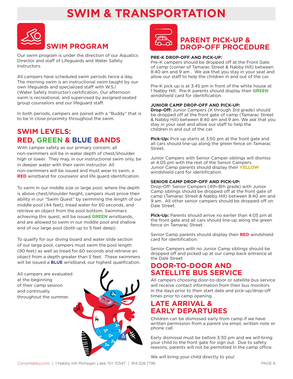# **SWIM & TRANSPORTATION**



Our swim program is under the direction of our Aquatics Director and staff of Lifeguards and Water Safety Instructors.

All campers have scheduled swim periods twice a day. The morning swim is an instructional swim taught by our own lifeguards and specialized staff with W.S.I (Water Safety Instructor) certification. Our afternoon swim is recreational, and supervised by assigned seated group counselors and our lifeguard staff.

In both periods, campers are paired with a "Buddy" that is to be in close proximity throughout the swim.

## **SWIM LEVELS: RED, GREEN & BLUE BANDS**

With camper safety as our primary concern, all non-swimmers will be in water depth of chest/shoulder high or lower. They may, in our instructional swim only, be in deeper water with their swim instructor. All non-swimmers will be issued and must wear to swim, a **RED** wristband for counselor and life guard identification.

To swim in our middle size or large pool, where the depth is above chest/shoulder height, campers must prove their ability in our "Swim Quest" by swimming the length of our middle pool (44 feet), tread water for 60 seconds, and retrieve an object from the pool bottom. Swimmers achieving this quest, will be issued **GREEN** wristbands, and are allowed to swim in our middle pool and shallow end of our large pool (both up to 5 feet deep).

To qualify for our diving board and water slide section of our large pool, campers must swim the pool length (90 feet) as well as tread for 60 seconds and retrieve an object from a depth greater than 5 feet. These swimmers will be issued a **BLUE** wristband, our highest qualification.

All campers are evaluated at the beginning of their camp session and continually throughout the summer.





## **PARENT PICK-UP & DROP-OFF PROCEDURE**

#### **PRE-K DROP-OFF AND PICK-UP:**

Pre-K campers should be dropped off at the Front Gate of camp (corner of Tamarac Street & Nabby Hill) between 8:40 am and 9 am . We ask that you stay in your seat and allow our staff to help the children in and out of the car.

Pre-K pick up is at 3:45 pm in front of the white house at 1 Nabby Hill. Pre-K parents should display their **GREEN** windshield card for identification.

#### **JUNIOR CAMP DROP-OFF AND PICK-UP:**

**Drop-Off:** Junior Campers (K through 3rd grade) should be dropped off at the front gate of camp (Tamarac Street & Nabby Hill) between 8:40 am and 9 am. We ask that you stay in your seat and allow our staff to help the children in and out of the car.

**Pick-Up:** Pick up starts at 3:50 pm at the front gate and all cars should line-up along the green fence on Tamarac Street.

Junior Campers with Senior Camper siblings will dismiss at 4:05 pm with the rest of the Senior Campers. Junior Camp parents should display their **YELLOW** windshield card for identification.

#### **SENIOR CAMP DROP-OFF AND PICK-UP:**

Drop-Off: Senior Campers (4th-8th grade) with Junior Camp siblings should be dropped off at the front gate of camp (Tamarac Street & Nabby Hill) between 8:40 am and 9 am. All other senior campers should be dropped off on Dale Street.

**Pick-Up:** Parents should arrive no earlier than 4:05 pm at the front gate and all cars should line-up along the green fence on Tamarac Street.

Senior Camp parents should display their **RED** windshield card for identification.

Senior Campers with no Junior Camp siblings should be dropped off and picked up at our camp back entrance at the Dale Street

#### **DOOR-TO-DOOR AND SATELLITE BUS SERVICE**

All campers choosing door-to-door or satellite bus service will receive contact information from their bus monitors in the days prior to their start date and pick-up/drop-off times prior to camp opening.

#### **LATE ARRIVAL & EARLY DEPARTURES**

Children can be dismissed early from camp if we have written permission from a parent via email, written note or phone call.

Early dismissal must be before 3:30 pm and we will bring your child to the front gate for sign out. Due to safety reasons, parents will not be permitted in the camp office.

We will bring your child directly to you!